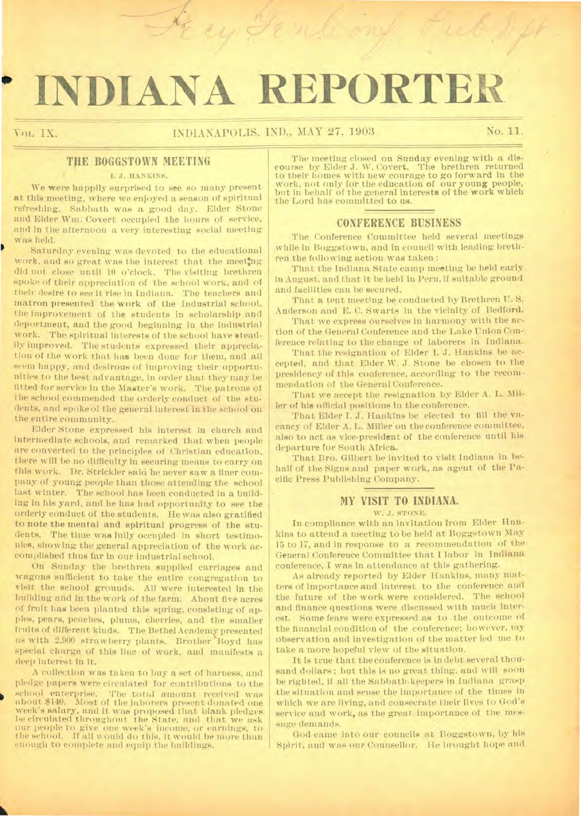# **INDIANA REPORTER**

## Vol. IX. No. 1 INDIANAPOLIS, IND., MAY 27, 1903 No. 11.

.7 '

## THE **BOGGSTOWN** MEETING

### I. J. HANKINS.

We were happily surprised to see so many present at this meeting, where we enjoyed a season of spiritual refreshing. Sabbath was a good day. Elder Stone and Elder Wm. Covert occupied the hours of service, and in the afternoon a very interesting social meeting was held.

Saturday evening was devoted to the educational work, and so great was the interest that the meeting did not close until 10 o'clock. The visiting brethren spoke of their appreciation of the school work, and of their desire to see it rise in Indiana. The teachers and matron presented the work of the Industrial school, the improvement of the students in scholarship and deportment, and the good beginning in the industrial work. The spiritual interests of the school have steadily improved. The students expressed their appreciation of the work that has been done for them, and all seem happy, and desirous of improving their opportunities to the best advantage, in order that they may be fitted for service in the Master's work. The patrons of the school commended the orderly conduct of the students, and spoke of the general interest'in the school on the entire community.

Elder Stone expressed his interest in church and intermediate schools, and remarked that when people are converted to the principles of Christian education, there will be no difficulty in securing means to carry on this work. Dr. Strickler said he never saw a finer company of young people than those attending the school last winter. The school has been conducted in a building in his yard, and he has had opportunity to see the orderly conduct of the students. He was also gratified to note the mental and spiritual progress of the students. The time was fully occupied in short testimonies, showing the general appreciation of the work accomplished thus far in our industrial school.

On Sunday the brethren supplied carriages and wagons sufficient to take the entire congregation to visit the school grounds. All were interested in the building and in the work of the farm. About five acres of fruit has been planted this spring, consisting of apples, pears, peaches, plums, cherries, and the smaller fruits of different kinds. The Bethel Academy presented us with 2,900 strawberry plants. Brother Hoyd has special charge of this line of work, and manifests a deep interest in it.

A collection was taken to buy a set of harness, and pledge papers were circulated for contributions to the school enterprise. The total amount received was about \$140. Most of the laborers present donated one week's salary, and it was proposed that blank pledges be circulated throughout the State, and that we ask our people to give one week's income, or earnings, to the school. If all would do this, it would be more than enough to complete and equip the buildings.

The meeting closed on Sunday evening with a discourse by Elder J. W. Covert. The brethren returned to their homes with new courage to go forward in the work, not only for the education of our young people, but in behalf of the general interests of the work which the Lord has committed to us.

## **CONFERENCE BUSINESS**

The Conference Committee held several meetings while in Boggstown, and in council with leading brethren the following action was taken :

That the Indiana State camp meeting be held early in August, and that it be held in Peru, if suitable ground and facilities can be secured.

That a tent meeting be conducted by Brethren U. S. Anderson and E. C. Swarts in the vicinity of Bedford.

That we express ourselves in harmony with the action of the General Conference and the Lake Union Conference relating to the change of laborers in Indiana.

That the resignation of Elder I. J. Hankins be accepted, and that Elder W. J. Stone be chosen to the presidency of this conference, according to the recommendation of the General Conference.

That we accept the resignation by Elder A. L. Miller of his official positions in the conference.

That Elder I. J. Hankins be elected to fill the vacancy of Elder A. L. Miller on the conference committee, also to act as vice-president of the conference until his departure for South Africa.

That Bro. Gilbert be invited to visit Indiana in behalf of the Signs and paper work, as agent of the Pacific Press Publishing Company.

## **MY VISIT TO INDIANA.**

#### W. J. STONE.

In compliance with an invitation from Elder Hankins to attend a meeting to be held at Boggstown May 15 to 17, and in response to a recommendation of the General Conference Committee that I labor in Indiana conference, I was in attendance at this gathering.

As already reported by Elder Hankins, many matters of importance and interest to the conference and the future of the work were considered. The school and finance questions were discussed with much interest. Some fears were expressed as to the outcome of the financial condition of the conference; however, my observation and investigation of the matter led me to take a more hopeful view of the situation.

It is true that the conference is in debt several thousand dollars; but this is no great thing, and will soon be righted, if all the Sabbath-keepers in Indiana grasp the situation and sense the importance of the times in which we are living, and consecrate their lives to God's service and work, as the great importance of the message demands.

God came into our councils at Boggstown, by his Spirit, and was our Counsellor. He brought hope and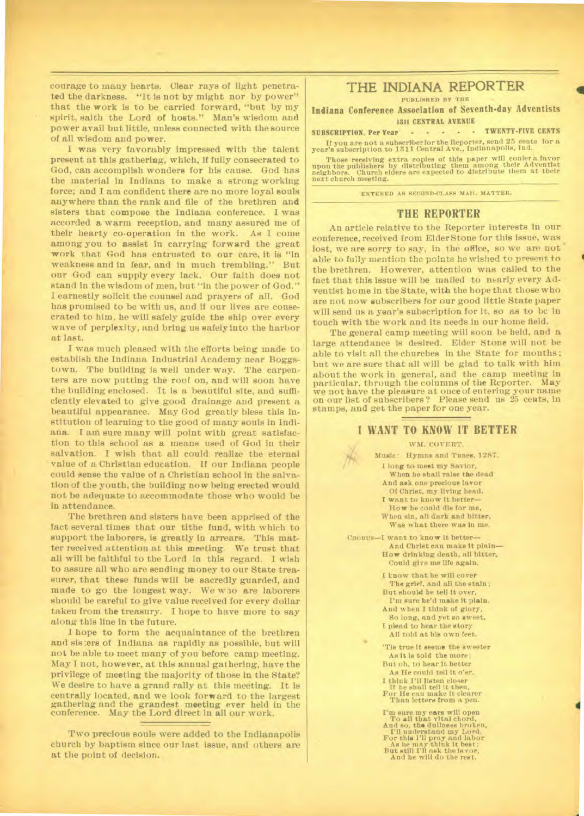**courage to many hearts. Clear rays of light penetrated the darkness. "It is not by might nor by power" that the work is to be carried forward, "but by my spirit, saith the Lord of hosts." Man's wisdom and power avail but little, unless connected with the source of all wisdom and power.** 

**I was very favorably impressed with the talent present at this gathering, which, if fully consecrated to God, can accomplish wonders for his cause. God has the material in Indiana to make a strong working force; and I am confident there are no more loyal souls anywhere than the rank and file of the brethren and sisters that compose the Indiana conference. I was accorded a warm reception, and many assured me of their hearty co-operation in the work. As I come among you to assist in carrying forward the great work that God has entrusted to our care, it is "in weakness and in fear, and in much trembling." But our God can supply every lack. Our faith does not stand in the wisdom of men, but "in the power of God." I earnestly solicit the counsel and prayers of all. God has promised to be with us, and if our lives are consecrated to him, he will safely guide the ship over every wave of perplexity, and bring us safely into the harbor at** *last.* 

**I was much pleased with the efforts being made to establish the Indiana Industrial Academy near Boggstown. The building is well under way. The carpenters are now putting the roof on, and will soon have the building enclosed. It is a beautiful site, and sufficiently elevated to give good drainage and present a beautiful appearance. May God greatly bless this institution of learning to the good of many souls in Indiana. I am sure many will point with great satisfaction to this school as a means used of God in their salvation. I wish that all could realize the eternal value of a Christian education. If our Indiana people could sense the value of a Christian school in the salvation of the youth, the building now being erected would not be adequate to accommodate those who would be in attendance.** 

**The brethren and sisters have been apprised of the fact several times that our tithe fund, with which to support the laborers, is greatly in arrears. This matter received attention at this meeting. We trust that all will be faithful to the Lord in this regard. I wish to assure all who are sending money to our State treasurer, that these funds will be sacredly guarded, and made to go the longest way. We who are laborers should be careful to give value received for every dollar taken from the treasury. I hope to have more to say along this line in the future.** 

**I hope to form the acquaintance of the brethren and sis:ers of Indiana as rapidly as possible, but will not be able to meet many of you before camp meeting. May I not, however, at this annual gathering, have the privilege of meeting the majority of those in the State? We desire to have a grand rally at this meeting. It is centrally located, and we look forward to the largest gathering and the grandest meeting ever held in the conference. May the Lord direct in all our work.** 

**Two precious souls were added to the Indianapolis church by baptism since our last issue, and others are at the point of decision.** 

## **THE INDIANA REPORTER**

**t!),141111...a1 ei jj** PA **411 ysait:. 1.11..um!vity !it lipmphrlim** 

**PUBLISHED BY THE** 

**Indiana Conference Association of Seventh-day Adventists 1311 CENTRAL AVENUE** 

**SUBSCRIPTION. Per Year TWENTY-FIVE CENTS It you are not a subscriber for the Reporter, send 25 cents for a year's subscription to 1311 Central Ave., Indianapolis, Ind.** 

**Those receiving extra copies of this paper will confer a favor upon the publishers by distributing them among their Adventist neighbors. Church elders are expected to distribute them at their next church meeting.** 

**ENTERED AS SECOND-CLASS MAIL MATTER.** 

### **THE REPORTER**

**An article relative to the Reporter interests in our conference, received from Elder Stone for this issue, was lost, we are sorry to say, in the office, so we are not able to fully mention the points he wished to present to the brethren. However, attention was called to the fact that this issue will be mailed to nearly every Adventist home in the State, with the hope that those who are not now subscribers for our good little State paper will send us a year's subscription for it, so as to be in touch with the work and its needs in our home field.** 

**The general camp meeting will soon be held, and a large attendance is desired. Elder Stone will not be able to visit all the churches in the State for months ; but we are sure that all will be glad to talk with him about the work in general, and the camp meeting in particular, through the columns of the Reporter. May we not have the pleasure at once of entering your name on our list of subscribers ? Please send us 25 cents, in stamps, and get the paper for one year.** 

#### **I WANT TO KNOW IT BETTER**

**WM. COVERT.** 

**Music: Hymns and Tunes, 1287. I long to meet my Savior, When he shall raise the dead And ask one precious favor Of Christ, my living head. I want to know it better— How be could die for me, When sin, all dark and bitter, Was what there was In me.** 

**CIIORUS—I want to know it better— And Christ can make it plain— How drinking death, all bitter, Could give me life again.** 

> **I know that he will cover The grief, and all the stain ;**  But should he tell it over **I'm sure he'd make it plain. And when I think of glory, So long, and yet so sweet, I plead to hear the story All told at his own feet.**

'Tis true it seems the sweeter **As it is told the more; But oh, to hear it better As He could tell it o'er. I think listen closer If he shall tell it then, For He can make it clearer Than letters from a pen.** 

S

I'm sure my ears will open  $\mathcal{T}_0$  all that vital chord,<br>And so, the dullness broken,  $\mathcal{T}_1$ <br>Til understand my Lord,<br>For this Fil pray and labor<br>As he may think it best;<br>Hat still I'll ask the favor,<br>And he will do the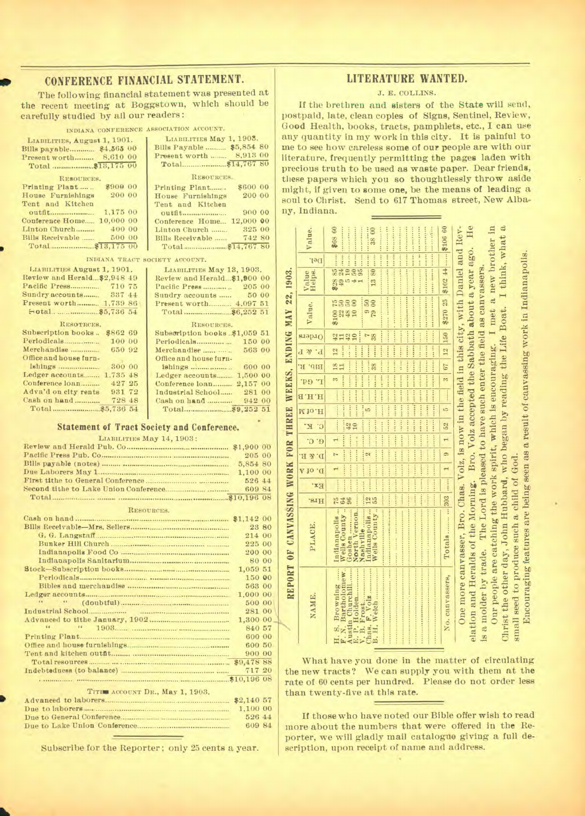## CONFERENCE FINANCIAL STATEMENT.

The following financial statement was presented at the recent meeting at Boggstown, which should be carefully studied by all our readers:

#### INDIANA CONFERENCE ASSOCIATION ACCOUNT.

| LIABILITIES, August 1, 1901. | LIABILITIES May 1, 1903.    |
|------------------------------|-----------------------------|
| Bills payable \$4,565 00     | Bills Payable  \$5,854 80   |
| Present worth 8,610 00       | 8,913 00<br>Present worth   |
|                              |                             |
| RESOURCES.                   | RESOURCES.                  |
| \$900 00<br>Printing Plant   | \$600 00<br>Printing Plant  |
| 200 00<br>House Furnishings  | 200 00<br>House Furnishings |
| Tent and Kitchen             | Tent and Kitchen            |
| 1.175 00<br>outfit           | 900 00<br>outfit            |
| 10,000 00<br>Conference Home | Conference Home 12,000 00   |
| 400 00<br>Linton Church      | 325 00<br>Linton Church     |
| 500 00<br>Bills Receivable   | 742 80<br>Bills Receivable  |
|                              |                             |
|                              |                             |

INDIANA TRACT S

| LIABILITIES August 1, 1901. |  |
|-----------------------------|--|
| Review and Herald\$2,948 49 |  |
|                             |  |
| Sundry accounts 337 44      |  |
| Present worth 1,739 86      |  |
|                             |  |
| RESOTRCES.                  |  |
| Subscription books \$862 69 |  |

| Periodicals              | 100 00  |  |
|--------------------------|---------|--|
| Merchandise              | 650 92  |  |
| Office and house furn-   |         |  |
|                          | 300 00  |  |
| Ledger accounts 1.735 48 |         |  |
| Conference loan          | 427 25  |  |
| Adva'd on city rents     | 931 72  |  |
| Cash on hand             | 728, 48 |  |
|                          |         |  |
|                          |         |  |

| Printing Plant                | \$600 00 |  |
|-------------------------------|----------|--|
| House Furnishings             | 200 00   |  |
| Tent and Kitchen              |          |  |
| outfit                        | 900 00   |  |
| Conference Home 12,000 00     |          |  |
| Linton Church                 | 325 00   |  |
| Bills Receivable              | 742 80   |  |
|                               |          |  |
| OCIETY ACCOUNT.               |          |  |
| LIABILITIES May 13, 1903.     |          |  |
|                               |          |  |
| Review and Herald\$1,900 00   |          |  |
|                               |          |  |
| Sundry accounts  50 00        |          |  |
| Present worth 4.097 51        |          |  |
|                               |          |  |
| RESOURCES.                    |          |  |
| Subscription books \$1,059 51 |          |  |
| Periodicals                   | 150 00   |  |

Office and house furn-Conference loan.......... 2,157 00 Cash on hand ............ 

#### **Statement of Tract Society and Conference.**

LIABILITIES May 14, 1903:

| 205 00   |  |
|----------|--|
| 5,854 80 |  |
|          |  |
| 526 44   |  |
| 609 84   |  |
|          |  |

| TVENDU ROBE.                                           |          |       |
|--------------------------------------------------------|----------|-------|
|                                                        |          |       |
|                                                        | 23 80    |       |
|                                                        | 214 00   |       |
|                                                        | 225 00   |       |
|                                                        | 200 00   |       |
|                                                        |          | 80 00 |
|                                                        | 1,059 51 |       |
|                                                        | 150 00   |       |
|                                                        | 563 00   |       |
|                                                        | 1,000 00 |       |
|                                                        | 500 00   |       |
|                                                        | 281 00   |       |
|                                                        | 1,300 00 |       |
| $\sim$ $\sim$ $\sim$ $\sim$ $\sim$ $\sim$ $\sim$<br>44 | 840 57   |       |
|                                                        | 600 00   |       |
|                                                        | 600 50   |       |
|                                                        | 900 00   |       |
|                                                        |          |       |
|                                                        | 717 20   |       |
|                                                        |          |       |
|                                                        |          |       |
| TITIM ACCOUNT DR., May 1, 1903.                        |          |       |
|                                                        |          |       |

1,100 00 Due to General Conference....... 526 44 Due to Lake Union Conference.... 609 84

Subscribe for the Reporter; only 25 cents a year.

## LITERATURE WANTED.

#### J. E. COLLINS.

If the brethren and sisters of the State will send, postpaid, late, clean copies of Signs, Sentinel, Review, Good Health, books, tracts, pamphlets, etc., I can use any quantity in my work in this city. It is painful to me to see how careless some of our people are with our literature, frequently permitting the pages laden with precious truth to be used as waste paper. Dear friends, these papers which you so thoughtlessly throw aside might, if given to some one, be the means of leading a soul to Christ. Send to 617 Thomas street, New Albany, Indiana.

|                                                                 | Value.<br>Del:   | 0 1 52 5 ---- 3 67 12 150 \$270 25 \$102 44 --- \$106 60<br>\$68 60<br><b><i><u>PARKING</u></i></b><br>and the set should be conserved to the property of the component of the set of the contract of the set of the contract of the contract of the contract of the contract of the contract of the contract of the contract of the<br>anyo no ne para para dete por arresterio de coro para para para para partir para para para para para para para<br>38 00<br>assumption of the state and a community of the state of the state of the state of the state of the state of the<br>anderskip arme brunninger in municipal en er på start prins prins prins produktet prins prins prins produktet<br><br><b>SERVICES</b><br>                                                                                                                                                                                                                                                                                                                   |  |
|-----------------------------------------------------------------|------------------|--------------------------------------------------------------------------------------------------------------------------------------------------------------------------------------------------------------------------------------------------------------------------------------------------------------------------------------------------------------------------------------------------------------------------------------------------------------------------------------------------------------------------------------------------------------------------------------------------------------------------------------------------------------------------------------------------------------------------------------------------------------------------------------------------------------------------------------------------------------------------------------------------------------------------------------------------------------------------------------------------------------------------------------------------|--|
|                                                                 | Value<br>Helps.  | 13 80<br>$\begin{array}{r} 238 \\ 49 \\ 5 \\ 10 \\ 4 \\ 1 \\ 95 \\ \ldots \end{array}$                                                                                                                                                                                                                                                                                                                                                                                                                                                                                                                                                                                                                                                                                                                                                                                                                                                                                                                                                           |  |
|                                                                 | Value.           | <b></b><br><b>The Secretary</b><br>\$100<br>\$23<br>\$23<br>\$100<br>$\frac{6}{6}$<br>$\frac{61}{6}$                                                                                                                                                                                                                                                                                                                                                                                                                                                                                                                                                                                                                                                                                                                                                                                                                                                                                                                                             |  |
|                                                                 | Orders           |                                                                                                                                                                                                                                                                                                                                                                                                                                                                                                                                                                                                                                                                                                                                                                                                                                                                                                                                                                                                                                                  |  |
|                                                                 |                  | access trees there is the set of the set of the set of the set<br>concert concert concert concert concert dense former                                                                                                                                                                                                                                                                                                                                                                                                                                                                                                                                                                                                                                                                                                                                                                                                                                                                                                                           |  |
|                                                                 | Bib. R.          | annot present property and the country and considered and control<br>control and in the set of the set of the set of the set                                                                                                                                                                                                                                                                                                                                                                                                                                                                                                                                                                                                                                                                                                                                                                                                                                                                                                                     |  |
|                                                                 | r eq.            |                                                                                                                                                                                                                                                                                                                                                                                                                                                                                                                                                                                                                                                                                                                                                                                                                                                                                                                                                                                                                                                  |  |
|                                                                 | H.H.B            |                                                                                                                                                                                                                                                                                                                                                                                                                                                                                                                                                                                                                                                                                                                                                                                                                                                                                                                                                                                                                                                  |  |
|                                                                 | M io.H           |                                                                                                                                                                                                                                                                                                                                                                                                                                                                                                                                                                                                                                                                                                                                                                                                                                                                                                                                                                                                                                                  |  |
|                                                                 | $c \cdot \kappa$ |                                                                                                                                                                                                                                                                                                                                                                                                                                                                                                                                                                                                                                                                                                                                                                                                                                                                                                                                                                                                                                                  |  |
|                                                                 |                  | <b>The Second Contract Contract</b><br>------<br>                                                                                                                                                                                                                                                                                                                                                                                                                                                                                                                                                                                                                                                                                                                                                                                                                                                                                                                                                                                                |  |
|                                                                 |                  |                                                                                                                                                                                                                                                                                                                                                                                                                                                                                                                                                                                                                                                                                                                                                                                                                                                                                                                                                                                                                                                  |  |
|                                                                 | A 10 . d         | desent construction<br>several exercise<br>$\frac{1}{2}$<br>sacred cases.                                                                                                                                                                                                                                                                                                                                                                                                                                                                                                                                                                                                                                                                                                                                                                                                                                                                                                                                                                        |  |
|                                                                 | $Ex*$            | <b>Service Service</b><br>李家                                                                                                                                                                                                                                                                                                                                                                                                                                                                                                                                                                                                                                                                                                                                                                                                                                                                                                                                                                                                                     |  |
|                                                                 | Hrs.             | $-1 - 1 - 1 - 1 = 0$<br><br>154                                                                                                                                                                                                                                                                                                                                                                                                                                                                                                                                                                                                                                                                                                                                                                                                                                                                                                                                                                                                                  |  |
| REPORT OF CANVASSING WORK FOR THREE WEEKS, ENDING MAY 22, 1903. | PLACE.           | المتربض المتحدر المتحدر المدحدر الحصير الحصب المستحرب المستحير المحصر المتحدر المتحدد المتحدة المتحدة المتحدة<br>ومستعار ومتسوخ ومتشر ومستوقفا ومتساور ومستوا ومقعد ومستور ومستوا متقاما ومتساوره ومستنقص المستور<br>chinano estere estable do por estable de la constituidad de la constituidad de la constituidad de la constituidad de la constituidad de la constituidad de la constituidad de la constituidad de la constituidad de la constit<br>North Vernon.<br>Wells County  55<br>Nashville<br><b>中国有限公司开发及各港市中国第一大道区区区区域</b><br>Wells County<br>Indianapolis<br>Goshen                                                                                                                                                                                                                                                                                                                                                                                                                                                                |  |
|                                                                 | NAME.            | Our people are catching the work spirit, which is encouraging. I met a new brother in<br>One more canvasser, Bro. Chas. Volz, is now in the field in this city, with Daniel and Rev-<br>elation and Heralds of the Morning. Bro. Volz accepted the Sabbath about a year ago. He<br>Christ the other day, John Hubbard, who began by reading the Life Boat. I think, what a<br>Encouraging features are being seen as a result of canvassing work in Indianapolis.<br>is a molder by trade. The Lord is pleased to have such enter the field as canvassers<br>small seed to produce such a child of God.<br>contra del del processo e un contrar el contrar el contrar el contrar el contrar el contrar el contrar el contrar el contrar el contrar el contrar el contrar el contrar el contrar el contrar el contrar el contrar el contra<br>F. N. Bartholomew<br>a para non propinsi la catala de contra non estat<br>Austin Churchill<br>3. P. Holden<br>No. canvassers,<br>has. F. Volz<br>3. H. Welch<br>V. B. Frost<br>Browning<br>si<br>H. |  |

What have you done in the matter of circulating the new tracts? We can supply you with them at the rate of 60 cents per hundred. Please do not order less than twenty-five at this rate.

If those who have noted our Bible offer wish to read more about the numbers that were offered in the Reporter, we will gladly mail catalogue giving a full description, upon receipt of name and address.